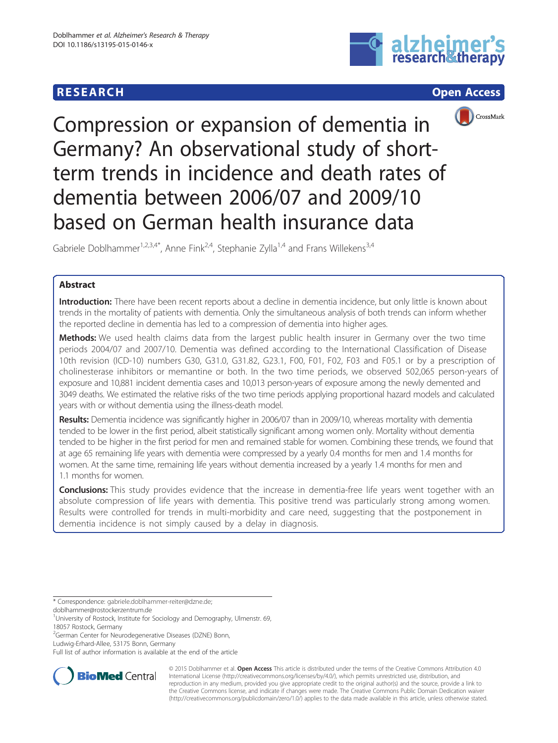# **RESEARCH CHINESE ARCH CHINESE ARCH**







Compression or expansion of dementia in Germany? An observational study of shortterm trends in incidence and death rates of dementia between 2006/07 and 2009/10 based on German health insurance data

Gabriele Doblhammer<sup>1,2,3,4\*</sup>, Anne Fink<sup>2,4</sup>, Stephanie Zylla<sup>1,4</sup> and Frans Willekens<sup>3,4</sup>

# Abstract

Introduction: There have been recent reports about a decline in dementia incidence, but only little is known about trends in the mortality of patients with dementia. Only the simultaneous analysis of both trends can inform whether the reported decline in dementia has led to a compression of dementia into higher ages.

Methods: We used health claims data from the largest public health insurer in Germany over the two time periods 2004/07 and 2007/10. Dementia was defined according to the International Classification of Disease 10th revision (ICD-10) numbers G30, G31.0, G31.82, G23.1, F00, F01, F02, F03 and F05.1 or by a prescription of cholinesterase inhibitors or memantine or both. In the two time periods, we observed 502,065 person-years of exposure and 10,881 incident dementia cases and 10,013 person-years of exposure among the newly demented and 3049 deaths. We estimated the relative risks of the two time periods applying proportional hazard models and calculated years with or without dementia using the illness-death model.

Results: Dementia incidence was significantly higher in 2006/07 than in 2009/10, whereas mortality with dementia tended to be lower in the first period, albeit statistically significant among women only. Mortality without dementia tended to be higher in the first period for men and remained stable for women. Combining these trends, we found that at age 65 remaining life years with dementia were compressed by a yearly 0.4 months for men and 1.4 months for women. At the same time, remaining life years without dementia increased by a yearly 1.4 months for men and 1.1 months for women.

Conclusions: This study provides evidence that the increase in dementia-free life years went together with an absolute compression of life years with dementia. This positive trend was particularly strong among women. Results were controlled for trends in multi-morbidity and care need, suggesting that the postponement in dementia incidence is not simply caused by a delay in diagnosis.

\* Correspondence: [gabriele.doblhammer-reiter@dzne.de](mailto:gabriele.doblhammer-reiter@dzne.de);

[doblhammer@rostockerzentrum.de](mailto:doblhammer@rostockerzentrum.de)

<sup>1</sup>University of Rostock, Institute for Sociology and Demography, Ulmenstr. 69, 18057 Rostock, Germany

Ludwig-Erhard-Allee, 53175 Bonn, Germany

Full list of author information is available at the end of the article



© 2015 Doblhammer et al. Open Access This article is distributed under the terms of the Creative Commons Attribution 4.0 International License [\(http://creativecommons.org/licenses/by/4.0/](http://creativecommons.org/licenses/by/4.0/)), which permits unrestricted use, distribution, and reproduction in any medium, provided you give appropriate credit to the original author(s) and the source, provide a link to the Creative Commons license, and indicate if changes were made. The Creative Commons Public Domain Dedication waiver [\(http://creativecommons.org/publicdomain/zero/1.0/](http://creativecommons.org/publicdomain/zero/1.0/)) applies to the data made available in this article, unless otherwise stated.

<sup>2</sup> German Center for Neurodegenerative Diseases (DZNE) Bonn,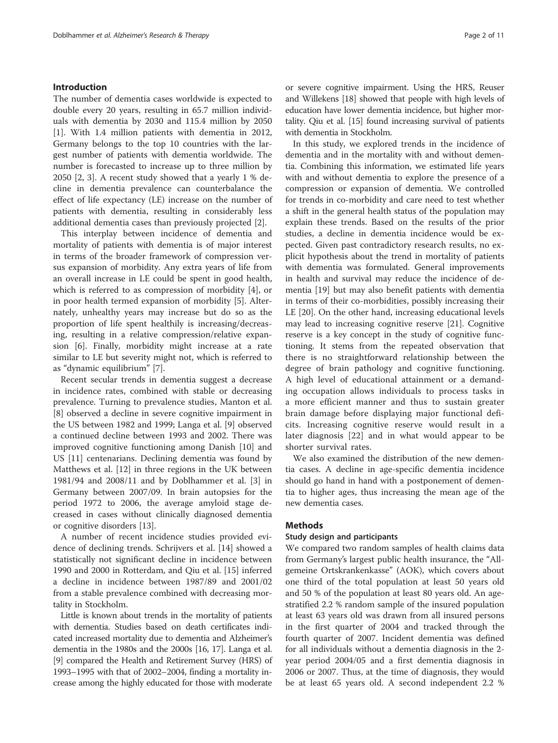### Introduction

The number of dementia cases worldwide is expected to double every 20 years, resulting in 65.7 million individuals with dementia by 2030 and 115.4 million by 2050 [[1\]](#page-9-0). With 1.4 million patients with dementia in 2012, Germany belongs to the top 10 countries with the largest number of patients with dementia worldwide. The number is forecasted to increase up to three million by 2050 [[2, 3\]](#page-9-0). A recent study showed that a yearly 1 % decline in dementia prevalence can counterbalance the effect of life expectancy (LE) increase on the number of patients with dementia, resulting in considerably less additional dementia cases than previously projected [[2\]](#page-9-0).

This interplay between incidence of dementia and mortality of patients with dementia is of major interest in terms of the broader framework of compression versus expansion of morbidity. Any extra years of life from an overall increase in LE could be spent in good health, which is referred to as compression of morbidity [[4\]](#page-9-0), or in poor health termed expansion of morbidity [[5\]](#page-9-0). Alternately, unhealthy years may increase but do so as the proportion of life spent healthily is increasing/decreasing, resulting in a relative compression/relative expansion [[6\]](#page-9-0). Finally, morbidity might increase at a rate similar to LE but severity might not, which is referred to as "dynamic equilibrium" [\[7](#page-9-0)].

Recent secular trends in dementia suggest a decrease in incidence rates, combined with stable or decreasing prevalence. Turning to prevalence studies, Manton et al. [[8\]](#page-9-0) observed a decline in severe cognitive impairment in the US between 1982 and 1999; Langa et al. [[9\]](#page-9-0) observed a continued decline between 1993 and 2002. There was improved cognitive functioning among Danish [[10](#page-9-0)] and US [[11\]](#page-9-0) centenarians. Declining dementia was found by Matthews et al. [[12\]](#page-9-0) in three regions in the UK between 1981/94 and 2008/11 and by Doblhammer et al. [\[3](#page-9-0)] in Germany between 2007/09. In brain autopsies for the period 1972 to 2006, the average amyloid stage decreased in cases without clinically diagnosed dementia or cognitive disorders [[13\]](#page-9-0).

A number of recent incidence studies provided evidence of declining trends. Schrijvers et al. [[14\]](#page-9-0) showed a statistically not significant decline in incidence between 1990 and 2000 in Rotterdam, and Qiu et al. [\[15](#page-9-0)] inferred a decline in incidence between 1987/89 and 2001/02 from a stable prevalence combined with decreasing mortality in Stockholm.

Little is known about trends in the mortality of patients with dementia. Studies based on death certificates indicated increased mortality due to dementia and Alzheimer's dementia in the 1980s and the 2000s [[16, 17\]](#page-9-0). Langa et al. [[9](#page-9-0)] compared the Health and Retirement Survey (HRS) of 1993–1995 with that of 2002–2004, finding a mortality increase among the highly educated for those with moderate or severe cognitive impairment. Using the HRS, Reuser and Willekens [\[18\]](#page-9-0) showed that people with high levels of education have lower dementia incidence, but higher mortality. Qiu et al. [\[15\]](#page-9-0) found increasing survival of patients with dementia in Stockholm.

In this study, we explored trends in the incidence of dementia and in the mortality with and without dementia. Combining this information, we estimated life years with and without dementia to explore the presence of a compression or expansion of dementia. We controlled for trends in co-morbidity and care need to test whether a shift in the general health status of the population may explain these trends. Based on the results of the prior studies, a decline in dementia incidence would be expected. Given past contradictory research results, no explicit hypothesis about the trend in mortality of patients with dementia was formulated. General improvements in health and survival may reduce the incidence of dementia [\[19](#page-10-0)] but may also benefit patients with dementia in terms of their co-morbidities, possibly increasing their LE [[20\]](#page-10-0). On the other hand, increasing educational levels may lead to increasing cognitive reserve [\[21](#page-10-0)]. Cognitive reserve is a key concept in the study of cognitive functioning. It stems from the repeated observation that there is no straightforward relationship between the degree of brain pathology and cognitive functioning. A high level of educational attainment or a demanding occupation allows individuals to process tasks in a more efficient manner and thus to sustain greater brain damage before displaying major functional deficits. Increasing cognitive reserve would result in a later diagnosis [\[22](#page-10-0)] and in what would appear to be shorter survival rates.

We also examined the distribution of the new dementia cases. A decline in age-specific dementia incidence should go hand in hand with a postponement of dementia to higher ages, thus increasing the mean age of the new dementia cases.

# Methods

## Study design and participants

We compared two random samples of health claims data from Germany's largest public health insurance, the "Allgemeine Ortskrankenkasse" (AOK), which covers about one third of the total population at least 50 years old and 50 % of the population at least 80 years old. An agestratified 2.2 % random sample of the insured population at least 63 years old was drawn from all insured persons in the first quarter of 2004 and tracked through the fourth quarter of 2007. Incident dementia was defined for all individuals without a dementia diagnosis in the 2 year period 2004/05 and a first dementia diagnosis in 2006 or 2007. Thus, at the time of diagnosis, they would be at least 65 years old. A second independent 2.2 %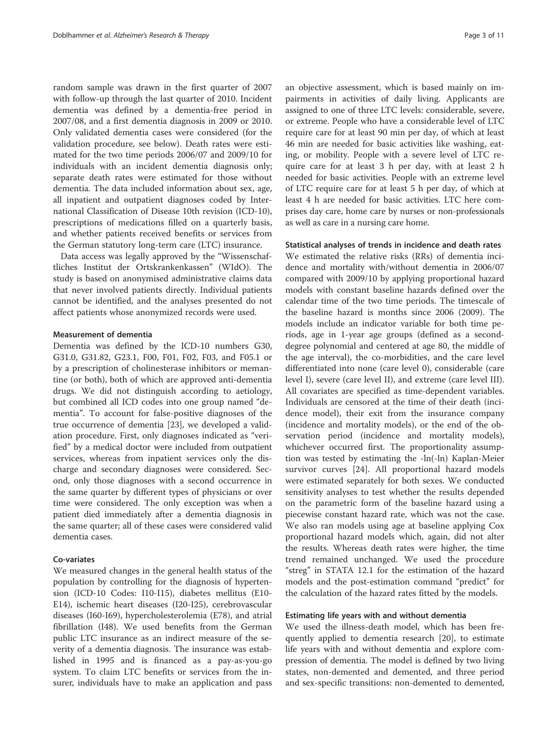random sample was drawn in the first quarter of 2007 with follow-up through the last quarter of 2010. Incident dementia was defined by a dementia-free period in 2007/08, and a first dementia diagnosis in 2009 or 2010. Only validated dementia cases were considered (for the validation procedure, see below). Death rates were estimated for the two time periods 2006/07 and 2009/10 for individuals with an incident dementia diagnosis only; separate death rates were estimated for those without dementia. The data included information about sex, age, all inpatient and outpatient diagnoses coded by International Classification of Disease 10th revision (ICD-10), prescriptions of medications filled on a quarterly basis, and whether patients received benefits or services from the German statutory long-term care (LTC) insurance.

Data access was legally approved by the "Wissenschaftliches Institut der Ortskrankenkassen" (WIdO). The study is based on anonymised administrative claims data that never involved patients directly. Individual patients cannot be identified, and the analyses presented do not affect patients whose anonymized records were used.

#### Measurement of dementia

Dementia was defined by the ICD-10 numbers G30, G31.0, G31.82, G23.1, F00, F01, F02, F03, and F05.1 or by a prescription of cholinesterase inhibitors or memantine (or both), both of which are approved anti-dementia drugs. We did not distinguish according to aetiology, but combined all ICD codes into one group named "dementia". To account for false-positive diagnoses of the true occurrence of dementia [[23](#page-10-0)], we developed a validation procedure. First, only diagnoses indicated as "verified" by a medical doctor were included from outpatient services, whereas from inpatient services only the discharge and secondary diagnoses were considered. Second, only those diagnoses with a second occurrence in the same quarter by different types of physicians or over time were considered. The only exception was when a patient died immediately after a dementia diagnosis in the same quarter; all of these cases were considered valid dementia cases.

## Co-variates

We measured changes in the general health status of the population by controlling for the diagnosis of hypertension (ICD-10 Codes: I10-I15), diabetes mellitus (E10- E14), ischemic heart diseases (I20-I25), cerebrovascular diseases (I60-I69), hypercholesterolemia (E78), and atrial fibrillation (I48). We used benefits from the German public LTC insurance as an indirect measure of the severity of a dementia diagnosis. The insurance was established in 1995 and is financed as a pay-as-you-go system. To claim LTC benefits or services from the insurer, individuals have to make an application and pass

an objective assessment, which is based mainly on impairments in activities of daily living. Applicants are assigned to one of three LTC levels: considerable, severe, or extreme. People who have a considerable level of LTC require care for at least 90 min per day, of which at least 46 min are needed for basic activities like washing, eating, or mobility. People with a severe level of LTC require care for at least 3 h per day, with at least 2 h needed for basic activities. People with an extreme level of LTC require care for at least 5 h per day, of which at least 4 h are needed for basic activities. LTC here comprises day care, home care by nurses or non-professionals as well as care in a nursing care home.

#### Statistical analyses of trends in incidence and death rates

We estimated the relative risks (RRs) of dementia incidence and mortality with/without dementia in 2006/07 compared with 2009/10 by applying proportional hazard models with constant baseline hazards defined over the calendar time of the two time periods. The timescale of the baseline hazard is months since 2006 (2009). The models include an indicator variable for both time periods, age in 1-year age groups (defined as a seconddegree polynomial and centered at age 80, the middle of the age interval), the co-morbidities, and the care level differentiated into none (care level 0), considerable (care level I), severe (care level II), and extreme (care level III). All covariates are specified as time-dependent variables. Individuals are censored at the time of their death (incidence model), their exit from the insurance company (incidence and mortality models), or the end of the observation period (incidence and mortality models), whichever occurred first. The proportionality assumption was tested by estimating the -ln(-ln) Kaplan-Meier survivor curves [[24](#page-10-0)]. All proportional hazard models were estimated separately for both sexes. We conducted sensitivity analyses to test whether the results depended on the parametric form of the baseline hazard using a piecewise constant hazard rate, which was not the case. We also ran models using age at baseline applying Cox proportional hazard models which, again, did not alter the results. Whereas death rates were higher, the time trend remained unchanged. We used the procedure "streg" in STATA 12.1 for the estimation of the hazard models and the post-estimation command "predict" for the calculation of the hazard rates fitted by the models.

#### Estimating life years with and without dementia

We used the illness-death model, which has been frequently applied to dementia research [[20](#page-10-0)], to estimate life years with and without dementia and explore compression of dementia. The model is defined by two living states, non-demented and demented, and three period and sex-specific transitions: non-demented to demented,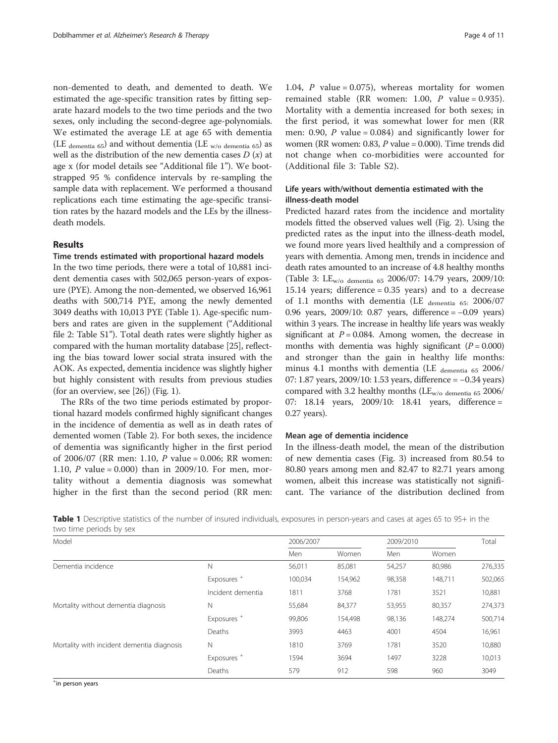non-demented to death, and demented to death. We estimated the age-specific transition rates by fitting separate hazard models to the two time periods and the two sexes, only including the second-degree age-polynomials. We estimated the average LE at age 65 with dementia (LE dementia  $65$ ) and without dementia (LE <sub>w/o dementia 65</sub>) as well as the distribution of the new dementia cases  $D(x)$  at age x (for model details see "Additional file [1](#page-9-0)"). We bootstrapped 95 % confidence intervals by re-sampling the sample data with replacement. We performed a thousand replications each time estimating the age-specific transition rates by the hazard models and the LEs by the illnessdeath models.

#### Results

#### Time trends estimated with proportional hazard models

In the two time periods, there were a total of 10,881 incident dementia cases with 502,065 person-years of exposure (PYE). Among the non-demented, we observed 16,961 deaths with 500,714 PYE, among the newly demented 3049 deaths with 10,013 PYE (Table 1). Age-specific numbers and rates are given in the supplement ("Additional file [2:](#page-9-0) Table S1"). Total death rates were slightly higher as compared with the human mortality database [[25](#page-10-0)], reflecting the bias toward lower social strata insured with the AOK. As expected, dementia incidence was slightly higher but highly consistent with results from previous studies (for an overview, see  $[26]$  $[26]$ ) (Fig. [1\)](#page-4-0).

The RRs of the two time periods estimated by proportional hazard models confirmed highly significant changes in the incidence of dementia as well as in death rates of demented women (Table [2\)](#page-6-0). For both sexes, the incidence of dementia was significantly higher in the first period of 2006/07 (RR men: 1.10, P value = 0.006; RR women: 1.10, P value = 0.000) than in 2009/10. For men, mortality without a dementia diagnosis was somewhat higher in the first than the second period (RR men:

1.04, P value =  $0.075$ ), whereas mortality for women remained stable (RR women: 1.00,  $P$  value = 0.935). Mortality with a dementia increased for both sexes; in the first period, it was somewhat lower for men (RR men: 0.90, P value =  $0.084$ ) and significantly lower for women (RR women: 0.83,  $P$  value = 0.000). Time trends did not change when co-morbidities were accounted for (Additional file [3:](#page-9-0) Table S2).

# Life years with/without dementia estimated with the illness-death model

Predicted hazard rates from the incidence and mortality models fitted the observed values well (Fig. [2](#page-5-0)). Using the predicted rates as the input into the illness-death model, we found more years lived healthily and a compression of years with dementia. Among men, trends in incidence and death rates amounted to an increase of 4.8 healthy months (Table [3](#page-6-0): LEw/o dementia 65 2006/07: 14.79 years, 2009/10: 15.14 years; difference = 0.35 years) and to a decrease of 1.1 months with dementia (LE  $_{\text{dementia}}$  65: 2006/07 0.96 years, 2009/10: 0.87 years, difference = −0.09 years) within 3 years. The increase in healthy life years was weakly significant at  $P = 0.084$ . Among women, the decrease in months with dementia was highly significant  $(P = 0.000)$ and stronger than the gain in healthy life months: minus 4.1 months with dementia (LE  $_{\text{dementia}}$  65 2006/ 07: 1.87 years, 2009/10: 1.53 years, difference = −0.34 years) compared with 3.2 healthy months ( $LE_{w/o}$  dementia 65 2006/ 07: 18.14 years, 2009/10: 18.41 years, difference = 0.27 years).

## Mean age of dementia incidence

In the illness-death model, the mean of the distribution of new dementia cases (Fig. [3\)](#page-7-0) increased from 80.54 to 80.80 years among men and 82.47 to 82.71 years among women, albeit this increase was statistically not significant. The variance of the distribution declined from

Table 1 Descriptive statistics of the number of insured individuals, exposures in person-years and cases at ages 65 to 95+ in the two time periods by sex

| Model                                      |                        | 2006/2007 |         | 2009/2010 |         | Total   |
|--------------------------------------------|------------------------|-----------|---------|-----------|---------|---------|
|                                            |                        | Men       | Women   | Men       | Women   |         |
| Dementia incidence                         | Ν                      | 56,011    | 85,081  | 54,257    | 80,986  | 276,335 |
|                                            | Exposures <sup>+</sup> | 100,034   | 154,962 | 98,358    | 148,711 | 502,065 |
|                                            | Incident dementia      | 1811      | 3768    | 1781      | 3521    | 10,881  |
| Mortality without dementia diagnosis       | Ν                      | 55,684    | 84,377  | 53,955    | 80,357  | 274,373 |
|                                            | Exposures <sup>+</sup> | 99,806    | 154,498 | 98,136    | 148,274 | 500,714 |
|                                            | Deaths                 | 3993      | 4463    | 4001      | 4504    | 16,961  |
| Mortality with incident dementia diagnosis | N                      | 1810      | 3769    | 1781      | 3520    | 10,880  |
|                                            | Exposures <sup>+</sup> | 1594      | 3694    | 1497      | 3228    | 10,013  |
|                                            | Deaths                 | 579       | 912     | 598       | 960     | 3049    |

+ in person years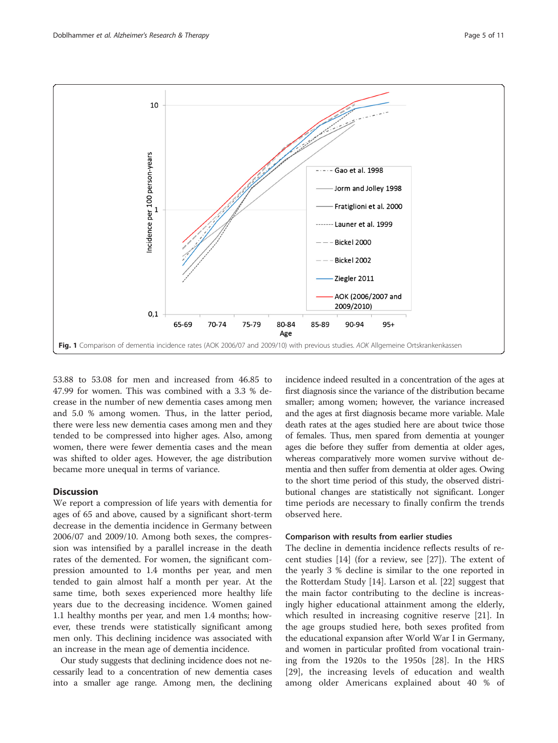<span id="page-4-0"></span>

Fig. 1 Comparison of dementia incidence rates (AOK 2006/07 and 2009/10) with previous studies. AOK Allgemeine Ortskrankenkassen

53.88 to 53.08 for men and increased from 46.85 to 47.99 for women. This was combined with a 3.3 % decrease in the number of new dementia cases among men and 5.0 % among women. Thus, in the latter period, there were less new dementia cases among men and they tended to be compressed into higher ages. Also, among women, there were fewer dementia cases and the mean was shifted to older ages. However, the age distribution became more unequal in terms of variance.

# **Discussion**

We report a compression of life years with dementia for ages of 65 and above, caused by a significant short-term decrease in the dementia incidence in Germany between 2006/07 and 2009/10. Among both sexes, the compression was intensified by a parallel increase in the death rates of the demented. For women, the significant compression amounted to 1.4 months per year, and men tended to gain almost half a month per year. At the same time, both sexes experienced more healthy life years due to the decreasing incidence. Women gained 1.1 healthy months per year, and men 1.4 months; however, these trends were statistically significant among men only. This declining incidence was associated with an increase in the mean age of dementia incidence.

Our study suggests that declining incidence does not necessarily lead to a concentration of new dementia cases into a smaller age range. Among men, the declining incidence indeed resulted in a concentration of the ages at first diagnosis since the variance of the distribution became smaller; among women; however, the variance increased and the ages at first diagnosis became more variable. Male death rates at the ages studied here are about twice those of females. Thus, men spared from dementia at younger ages die before they suffer from dementia at older ages, whereas comparatively more women survive without dementia and then suffer from dementia at older ages. Owing to the short time period of this study, the observed distributional changes are statistically not significant. Longer time periods are necessary to finally confirm the trends observed here.

## Comparison with results from earlier studies

The decline in dementia incidence reflects results of recent studies [[14\]](#page-9-0) (for a review, see [[27](#page-10-0)]). The extent of the yearly 3 % decline is similar to the one reported in the Rotterdam Study [\[14\]](#page-9-0). Larson et al. [\[22\]](#page-10-0) suggest that the main factor contributing to the decline is increasingly higher educational attainment among the elderly, which resulted in increasing cognitive reserve [[21\]](#page-10-0). In the age groups studied here, both sexes profited from the educational expansion after World War I in Germany, and women in particular profited from vocational training from the 1920s to the 1950s [[28](#page-10-0)]. In the HRS [[29\]](#page-10-0), the increasing levels of education and wealth among older Americans explained about 40 % of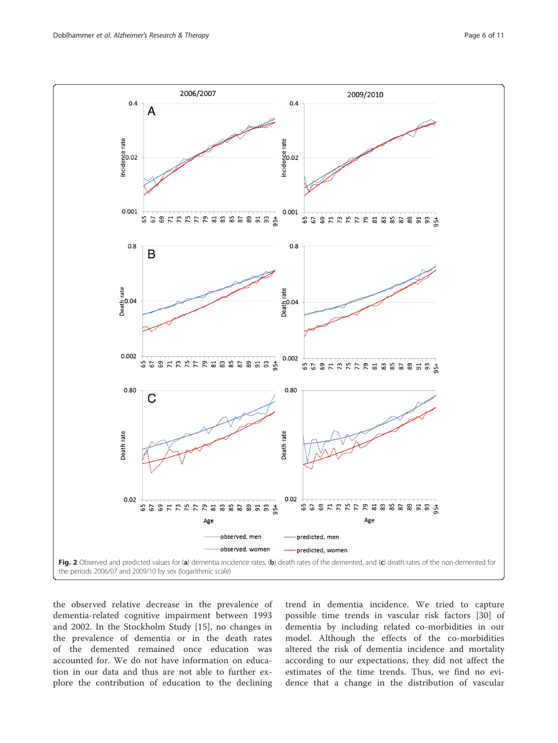<span id="page-5-0"></span>

the observed relative decrease in the prevalence of dementia-related cognitive impairment between 1993 and 2002. In the Stockholm Study [\[15](#page-9-0)], no changes in the prevalence of dementia or in the death rates of the demented remained once education was accounted for. We do not have information on education in our data and thus are not able to further explore the contribution of education to the declining trend in dementia incidence. We tried to capture possible time trends in vascular risk factors [[30\]](#page-10-0) of dementia by including related co-morbidities in our model. Although the effects of the co-morbidities altered the risk of dementia incidence and mortality according to our expectations, they did not affect the estimates of the time trends. Thus, we find no evidence that a change in the distribution of vascular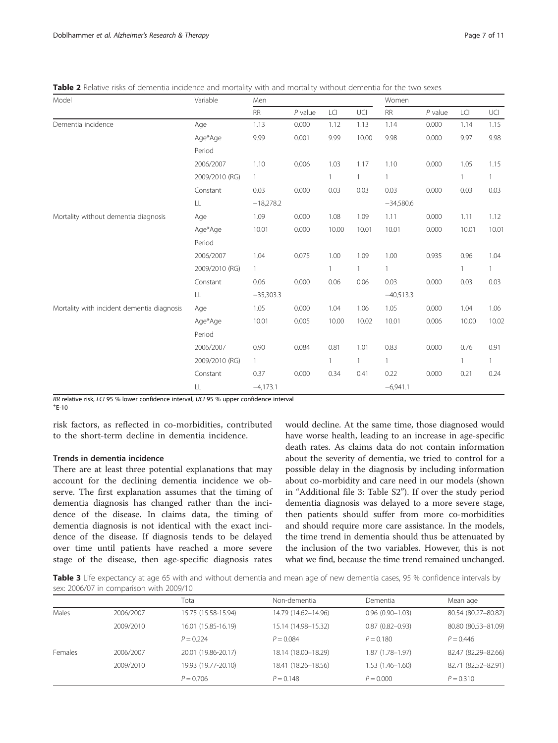<span id="page-6-0"></span>Table 2 Relative risks of dementia incidence and mortality with and mortality without dementia for the two sexes

| Model                                      | Variable       | Men          |           |              |              | Women       |           |              |              |
|--------------------------------------------|----------------|--------------|-----------|--------------|--------------|-------------|-----------|--------------|--------------|
|                                            |                | ${\sf RR}$   | $P$ value | LCI          | UCI          | <b>RR</b>   | $P$ value | LCI          | UCI          |
| Dementia incidence                         | Age            | 1.13         | 0.000     | 1.12         | 1.13         | 1.14        | 0.000     | 1.14         | 1.15         |
|                                            | Age*Age        | 9.99         | 0.001     | 9.99         | 10.00        | 9.98        | 0.000     | 9.97         | 9.98         |
|                                            | Period         |              |           |              |              |             |           |              |              |
|                                            | 2006/2007      | 1.10         | 0.006     | 1.03         | 1.17         | 1.10        | 0.000     | 1.05         | 1.15         |
|                                            | 2009/2010 (RG) | $\mathbf{1}$ |           |              | $\mathbf{1}$ |             |           | $\mathbf{1}$ | 1            |
|                                            | Constant       | 0.03         | 0.000     | 0.03         | 0.03         | 0.03        | 0.000     | 0.03         | 0.03         |
|                                            | LL             | $-18,278.2$  |           |              |              | $-34,580.6$ |           |              |              |
| Mortality without dementia diagnosis       | Age            | 1.09         | 0.000     | 1.08         | 1.09         | 1.11        | 0.000     | 1.11         | 1.12         |
|                                            | Age*Age        | 10.01        | 0.000     | 10.00        | 10.01        | 10.01       | 0.000     | 10.01        | 10.01        |
|                                            | Period         |              |           |              |              |             |           |              |              |
|                                            | 2006/2007      | 1.04         | 0.075     | 1.00         | 1.09         | 1.00        | 0.935     | 0.96         | 1.04         |
|                                            | 2009/2010 (RG) | $\mathbf{1}$ |           | $\mathbf{1}$ | $\mathbf{1}$ |             |           | $\mathbf{1}$ | $\mathbf{1}$ |
|                                            | Constant       | 0.06         | 0.000     | 0.06         | 0.06         | 0.03        | 0.000     | 0.03         | 0.03         |
|                                            | LL             | $-35,303.3$  |           |              |              | $-40,513.3$ |           |              |              |
| Mortality with incident dementia diagnosis | Age            | 1.05         | 0.000     | 1.04         | 1.06         | 1.05        | 0.000     | 1.04         | 1.06         |
|                                            | Age*Age        | 10.01        | 0.005     | 10.00        | 10.02        | 10.01       | 0.006     | 10.00        | 10.02        |
|                                            | Period         |              |           |              |              |             |           |              |              |
|                                            | 2006/2007      | 0.90         | 0.084     | 0.81         | 1.01         | 0.83        | 0.000     | 0.76         | 0.91         |
|                                            | 2009/2010 (RG) | $\mathbf{1}$ |           |              | 1            |             |           | 1.           | 1            |
|                                            | Constant       | 0.37         | 0.000     | 0.34         | 0.41         | 0.22        | 0.000     | 0.21         | 0.24         |
|                                            | LL             | $-4,173.1$   |           |              |              | $-6,941.1$  |           |              |              |

 $RR$  relative risk, LCI 95 % lower confidence interval, UCI 95 % upper confidence interval

 $+E-10$ 

risk factors, as reflected in co-morbidities, contributed to the short-term decline in dementia incidence.

#### Trends in dementia incidence

There are at least three potential explanations that may account for the declining dementia incidence we observe. The first explanation assumes that the timing of dementia diagnosis has changed rather than the incidence of the disease. In claims data, the timing of dementia diagnosis is not identical with the exact incidence of the disease. If diagnosis tends to be delayed over time until patients have reached a more severe stage of the disease, then age-specific diagnosis rates

would decline. At the same time, those diagnosed would have worse health, leading to an increase in age-specific death rates. As claims data do not contain information about the severity of dementia, we tried to control for a possible delay in the diagnosis by including information about co-morbidity and care need in our models (shown in "Additional file [3:](#page-9-0) Table S2"). If over the study period dementia diagnosis was delayed to a more severe stage, then patients should suffer from more co-morbidities and should require more care assistance. In the models, the time trend in dementia should thus be attenuated by the inclusion of the two variables. However, this is not what we find, because the time trend remained unchanged.

Table 3 Life expectancy at age 65 with and without dementia and mean age of new dementia cases, 95 % confidence intervals by sex: 2006/07 in comparison with 2009/10

|         |           | Total               | Non-dementia        | Dementia            | Mean age            |
|---------|-----------|---------------------|---------------------|---------------------|---------------------|
| Males   | 2006/2007 | 15.75 (15.58-15.94) | 14.79 (14.62-14.96) | $0.96(0.90 - 1.03)$ | 80.54 (80.27-80.82) |
|         | 2009/2010 | 16.01 (15.85-16.19) | 15.14 (14.98-15.32) | $0.87(0.82 - 0.93)$ | 80.80 (80.53-81.09) |
|         |           | $P = 0.224$         | $P = 0.084$         | $P = 0.180$         | $P = 0.446$         |
| Females | 2006/2007 | 20.01 (19.86-20.17) | 18.14 (18.00-18.29) | $1.87(1.78 - 1.97)$ | 82.47 (82.29-82.66) |
|         | 2009/2010 | 19.93 (19.77-20.10) | 18.41 (18.26-18.56) | $1.53(1.46 - 1.60)$ | 82.71 (82.52-82.91) |
|         |           | $P = 0.706$         | $P = 0.148$         | $P = 0.000$         | $P = 0.310$         |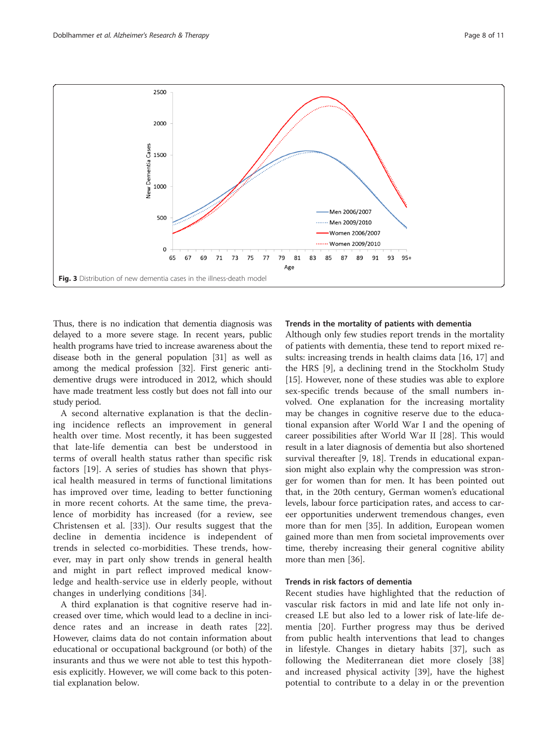<span id="page-7-0"></span>

Thus, there is no indication that dementia diagnosis was delayed to a more severe stage. In recent years, public health programs have tried to increase awareness about the disease both in the general population [[31](#page-10-0)] as well as among the medical profession [[32](#page-10-0)]. First generic antidementive drugs were introduced in 2012, which should have made treatment less costly but does not fall into our study period.

A second alternative explanation is that the declining incidence reflects an improvement in general health over time. Most recently, it has been suggested that late-life dementia can best be understood in terms of overall health status rather than specific risk factors [\[19](#page-10-0)]. A series of studies has shown that physical health measured in terms of functional limitations has improved over time, leading to better functioning in more recent cohorts. At the same time, the prevalence of morbidity has increased (for a review, see Christensen et al. [[33\]](#page-10-0)). Our results suggest that the decline in dementia incidence is independent of trends in selected co-morbidities. These trends, however, may in part only show trends in general health and might in part reflect improved medical knowledge and health-service use in elderly people, without changes in underlying conditions [[34](#page-10-0)].

A third explanation is that cognitive reserve had increased over time, which would lead to a decline in incidence rates and an increase in death rates [\[22](#page-10-0)]. However, claims data do not contain information about educational or occupational background (or both) of the insurants and thus we were not able to test this hypothesis explicitly. However, we will come back to this potential explanation below.

#### Trends in the mortality of patients with dementia

Although only few studies report trends in the mortality of patients with dementia, these tend to report mixed results: increasing trends in health claims data [[16, 17](#page-9-0)] and the HRS [[9\]](#page-9-0), a declining trend in the Stockholm Study [[15\]](#page-9-0). However, none of these studies was able to explore sex-specific trends because of the small numbers involved. One explanation for the increasing mortality may be changes in cognitive reserve due to the educational expansion after World War I and the opening of career possibilities after World War II [[28](#page-10-0)]. This would result in a later diagnosis of dementia but also shortened survival thereafter [\[9](#page-9-0), [18\]](#page-9-0). Trends in educational expansion might also explain why the compression was stronger for women than for men. It has been pointed out that, in the 20th century, German women's educational levels, labour force participation rates, and access to career opportunities underwent tremendous changes, even more than for men [[35](#page-10-0)]. In addition, European women gained more than men from societal improvements over time, thereby increasing their general cognitive ability more than men [\[36](#page-10-0)].

## Trends in risk factors of dementia

Recent studies have highlighted that the reduction of vascular risk factors in mid and late life not only increased LE but also led to a lower risk of late-life dementia [[20](#page-10-0)]. Further progress may thus be derived from public health interventions that lead to changes in lifestyle. Changes in dietary habits [\[37](#page-10-0)], such as following the Mediterranean diet more closely [\[38](#page-10-0)] and increased physical activity [[39](#page-10-0)], have the highest potential to contribute to a delay in or the prevention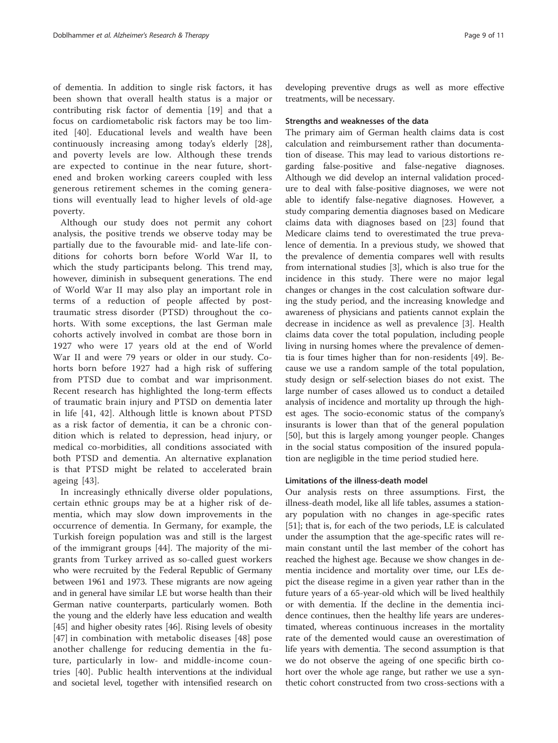of dementia. In addition to single risk factors, it has been shown that overall health status is a major or contributing risk factor of dementia [[19\]](#page-10-0) and that a focus on cardiometabolic risk factors may be too limited [\[40](#page-10-0)]. Educational levels and wealth have been continuously increasing among today's elderly [\[28](#page-10-0)], and poverty levels are low. Although these trends are expected to continue in the near future, shortened and broken working careers coupled with less generous retirement schemes in the coming generations will eventually lead to higher levels of old-age poverty.

Although our study does not permit any cohort analysis, the positive trends we observe today may be partially due to the favourable mid- and late-life conditions for cohorts born before World War II, to which the study participants belong. This trend may, however, diminish in subsequent generations. The end of World War II may also play an important role in terms of a reduction of people affected by posttraumatic stress disorder (PTSD) throughout the cohorts. With some exceptions, the last German male cohorts actively involved in combat are those born in 1927 who were 17 years old at the end of World War II and were 79 years or older in our study. Cohorts born before 1927 had a high risk of suffering from PTSD due to combat and war imprisonment. Recent research has highlighted the long-term effects of traumatic brain injury and PTSD on dementia later in life [[41, 42\]](#page-10-0). Although little is known about PTSD as a risk factor of dementia, it can be a chronic condition which is related to depression, head injury, or medical co-morbidities, all conditions associated with both PTSD and dementia. An alternative explanation is that PTSD might be related to accelerated brain ageing [[43\]](#page-10-0).

In increasingly ethnically diverse older populations, certain ethnic groups may be at a higher risk of dementia, which may slow down improvements in the occurrence of dementia. In Germany, for example, the Turkish foreign population was and still is the largest of the immigrant groups [[44\]](#page-10-0). The majority of the migrants from Turkey arrived as so-called guest workers who were recruited by the Federal Republic of Germany between 1961 and 1973. These migrants are now ageing and in general have similar LE but worse health than their German native counterparts, particularly women. Both the young and the elderly have less education and wealth [[45](#page-10-0)] and higher obesity rates [[46\]](#page-10-0). Rising levels of obesity [[47](#page-10-0)] in combination with metabolic diseases [[48](#page-10-0)] pose another challenge for reducing dementia in the future, particularly in low- and middle-income countries [[40\]](#page-10-0). Public health interventions at the individual and societal level, together with intensified research on developing preventive drugs as well as more effective treatments, will be necessary.

#### Strengths and weaknesses of the data

The primary aim of German health claims data is cost calculation and reimbursement rather than documentation of disease. This may lead to various distortions regarding false-positive and false-negative diagnoses. Although we did develop an internal validation procedure to deal with false-positive diagnoses, we were not able to identify false-negative diagnoses. However, a study comparing dementia diagnoses based on Medicare claims data with diagnoses based on [[23](#page-10-0)] found that Medicare claims tend to overestimated the true prevalence of dementia. In a previous study, we showed that the prevalence of dementia compares well with results from international studies [[3\]](#page-9-0), which is also true for the incidence in this study. There were no major legal changes or changes in the cost calculation software during the study period, and the increasing knowledge and awareness of physicians and patients cannot explain the decrease in incidence as well as prevalence [[3](#page-9-0)]. Health claims data cover the total population, including people living in nursing homes where the prevalence of dementia is four times higher than for non-residents [[49\]](#page-10-0). Because we use a random sample of the total population, study design or self-selection biases do not exist. The large number of cases allowed us to conduct a detailed analysis of incidence and mortality up through the highest ages. The socio-economic status of the company's insurants is lower than that of the general population [[50\]](#page-10-0), but this is largely among younger people. Changes in the social status composition of the insured population are negligible in the time period studied here.

## Limitations of the illness-death model

Our analysis rests on three assumptions. First, the illness-death model, like all life tables, assumes a stationary population with no changes in age-specific rates [[51\]](#page-10-0); that is, for each of the two periods, LE is calculated under the assumption that the age-specific rates will remain constant until the last member of the cohort has reached the highest age. Because we show changes in dementia incidence and mortality over time, our LEs depict the disease regime in a given year rather than in the future years of a 65-year-old which will be lived healthily or with dementia. If the decline in the dementia incidence continues, then the healthy life years are underestimated, whereas continuous increases in the mortality rate of the demented would cause an overestimation of life years with dementia. The second assumption is that we do not observe the ageing of one specific birth cohort over the whole age range, but rather we use a synthetic cohort constructed from two cross-sections with a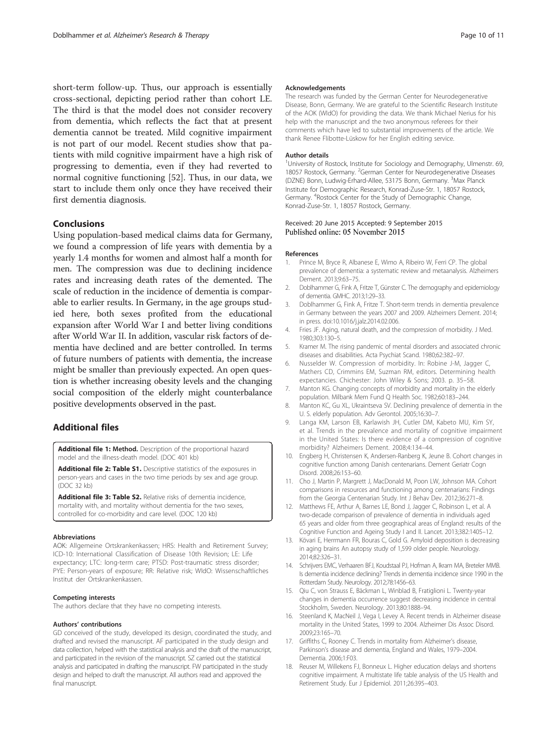<span id="page-9-0"></span>short-term follow-up. Thus, our approach is essentially cross-sectional, depicting period rather than cohort LE. The third is that the model does not consider recovery from dementia, which reflects the fact that at present dementia cannot be treated. Mild cognitive impairment is not part of our model. Recent studies show that patients with mild cognitive impairment have a high risk of progressing to dementia, even if they had reverted to normal cognitive functioning [[52\]](#page-10-0). Thus, in our data, we start to include them only once they have received their first dementia diagnosis.

## Conclusions

Using population-based medical claims data for Germany, we found a compression of life years with dementia by a yearly 1.4 months for women and almost half a month for men. The compression was due to declining incidence rates and increasing death rates of the demented. The scale of reduction in the incidence of dementia is comparable to earlier results. In Germany, in the age groups studied here, both sexes profited from the educational expansion after World War I and better living conditions after World War II. In addition, vascular risk factors of dementia have declined and are better controlled. In terms of future numbers of patients with dementia, the increase might be smaller than previously expected. An open question is whether increasing obesity levels and the changing social composition of the elderly might counterbalance positive developments observed in the past.

# Additional files

[Additional file 1:](http://alzres.com/content/supplementary/s13195-015-0146-x-s1.doc) Method. Description of the proportional hazard model and the illness-death model. (DOC 401 kb)

[Additional file 2: Table S1.](http://alzres.com/content/supplementary/s13195-015-0146-x-s2.doc) Descriptive statistics of the exposures in person-years and cases in the two time periods by sex and age group. (DOC 32 kb)

[Additional file 3: Table S2.](http://alzres.com/content/supplementary/s13195-015-0146-x-s3.doc) Relative risks of dementia incidence, mortality with, and mortality without dementia for the two sexes, controlled for co-morbidity and care level. (DOC 120 kb)

#### Abbreviations

AOK: Allgemeine Ortskrankenkassen; HRS: Health and Retirement Survey; ICD-10: International Classification of Disease 10th Revision; LE: Life expectancy; LTC: long-term care; PTSD: Post-traumatic stress disorder; PYE: Person-years of exposure; RR: Relative risk; WIdO: Wissenschaftliches Institut der Ortskrankenkassen.

#### Competing interests

The authors declare that they have no competing interests.

#### Authors' contributions

GD conceived of the study, developed its design, coordinated the study, and drafted and revised the manuscript. AF participated in the study design and data collection, helped with the statistical analysis and the draft of the manuscript, and participated in the revision of the manuscript. SZ carried out the statistical analysis and participated in drafting the manuscript. FW participated in the study design and helped to draft the manuscript. All authors read and approved the final manuscript.

#### Acknowledgements

The research was funded by the German Center for Neurodegenerative Disease, Bonn, Germany. We are grateful to the Scientific Research Institute of the AOK (WIdO) for providing the data. We thank Michael Nerius for his help with the manuscript and the two anonymous referees for their comments which have led to substantial improvements of the article. We thank Renee Flibotte-Lüskow for her English editing service.

#### Author details

<sup>1</sup>University of Rostock, Institute for Sociology and Demography, Ulmenstr. 69 18057 Rostock, Germany. <sup>2</sup>German Center for Neurodegenerative Diseases (DZNE) Bonn, Ludwig-Erhard-Allee, 53175 Bonn, Germany. <sup>3</sup>Max Planck Institute for Demographic Research, Konrad-Zuse-Str. 1, 18057 Rostock, Germany. <sup>4</sup> Rostock Center for the Study of Demographic Change, Konrad-Zuse-Str. 1, 18057 Rostock, Germany.

#### Received: 20 June 2015 Accepted: 9 September 2015 Published online: 05 November 2015

#### References

- 1. Prince M, Bryce R, Albanese E, Wimo A, Ribeiro W, Ferri CP. The global prevalence of dementia: a systematic review and metaanalysis. Alzheimers Dement. 2013;9:63–75.
- 2. Doblhammer G, Fink A, Fritze T, Günster C. The demography and epidemiology of dementia. GMHC. 2013;1:29–33.
- 3. Doblhammer G, Fink A, Fritze T. Short-term trends in dementia prevalence in Germany between the years 2007 and 2009. Alzheimers Dement. 2014; in press. doi[:10.1016/j.jalz.2014.02.006](http://dx.doi.org/10.1016/j.jalz.2014.02.006).
- 4. Fries JF. Aging, natural death, and the compression of morbidity. J Med. 1980;303:130–5.
- 5. Kramer M. The rising pandemic of mental disorders and associated chronic diseases and disabilities. Acta Psychiat Scand. 1980;62:382–97.
- 6. Nusselder W. Compression of morbidity. In: Robine J-M, Jagger C, Mathers CD, Crimmins EM, Suzman RM, editors. Determining health expectancies. Chichester: John Wiley & Sons; 2003. p. 35–58.
- 7. Manton KG. Changing concepts of morbidity and mortality in the elderly population. Milbank Mem Fund Q Health Soc. 1982;60:183–244.
- 8. Manton KC, Gu XL, Ukraintseva SV. Declining prevalence of dementia in the U. S. elderly population. Adv Gerontol. 2005;16:30–7.
- 9. Langa KM, Larson EB, Karlawish JH, Cutler DM, Kabeto MU, Kim SY, et al. Trends in the prevalence and mortality of cognitive impairment in the United States: Is there evidence of a compression of cognitive morbidity? Alzheimers Dement. 2008;4:134–44.
- 10. Engberg H, Christensen K, Andersen-Ranberg K, Jeune B. Cohort changes in cognitive function among Danish centenarians. Dement Geriatr Cogn Disord. 2008;26:153–60.
- 11. Cho J, Martin P, Margrett J, MacDonald M, Poon LW, Johnson MA. Cohort comparisons in resources and functioning among centenarians: Findings from the Georgia Centenarian Study. Int J Behav Dev. 2012;36:271–8.
- 12. Matthews FE, Arthur A, Barnes LE, Bond J, Jagger C, Robinson L, et al. A two-decade comparison of prevalence of dementia in individuals aged 65 years and older from three geographical areas of England: results of the Cognitive Function and Ageing Study I and II. Lancet. 2013;382:1405–12.
- 13. Kövari E, Herrmann FR, Bouras C, Gold G. Amyloid deposition is decreasing in aging brains An autopsy study of 1,599 older people. Neurology. 2014;82:326–31.
- 14. Schrijvers EMC, Verhaaren BFJ, Koudstaal PJ, Hofman A, Ikram MA, Breteler MMB. Is dementia incidence declining? Trends in dementia incidence since 1990 in the Rotterdam Study. Neurology. 2012;78:1456–63.
- 15. Qiu C, von Strauss E, Bäckman L, Winblad B, Fratiglioni L. Twenty-year changes in dementia occurrence suggest decreasing incidence in central Stockholm, Sweden. Neurology. 2013;80:1888–94.
- 16. Steenland K, MacNeil J, Vega I, Levey A. Recent trends in Alzheimer disease mortality in the United States, 1999 to 2004. Alzheimer Dis Assoc Disord. 2009;23:165–70.
- 17. Griffiths C, Rooney C. Trends in mortality from Alzheimer's disease, Parkinson's disease and dementia, England and Wales, 1979–2004. Dementia. 2006;1:F03.
- 18. Reuser M, Willekens FJ, Bonneux L. Higher education delays and shortens cognitive impairment. A multistate life table analysis of the US Health and Retirement Study. Eur J Epidemiol. 2011;26:395–403.